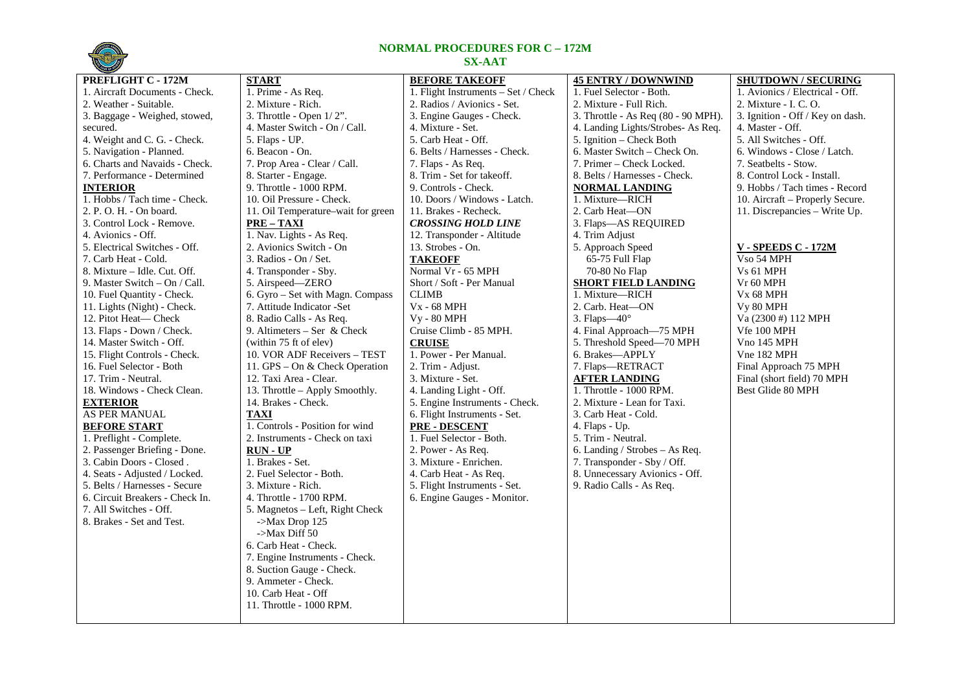

## **NORMAL PROCEDURES FOR C – 172M SX-AAT**

| <b>CINE OF STRAIGHT</b>         |                                    |                                     |                                     |                                  |
|---------------------------------|------------------------------------|-------------------------------------|-------------------------------------|----------------------------------|
| PREFLIGHT C - 172M              | <b>START</b>                       | <b>BEFORE TAKEOFF</b>               | <b>45 ENTRY / DOWNWIND</b>          | <b>SHUTDOWN / SECURING</b>       |
| 1. Aircraft Documents - Check.  | 1. Prime - As Req.                 | 1. Flight Instruments - Set / Check | 1. Fuel Selector - Both.            | 1. Avionics / Electrical - Off.  |
| 2. Weather - Suitable.          | 2. Mixture - Rich.                 | 2. Radios / Avionics - Set.         | 2. Mixture - Full Rich.             | 2. Mixture - I. C. O.            |
| 3. Baggage - Weighed, stowed,   | 3. Throttle - Open $1/2$ ".        | 3. Engine Gauges - Check.           | 3. Throttle - As Req (80 - 90 MPH). | 3. Ignition - Off / Key on dash. |
| secured.                        | 4. Master Switch - On / Call.      | 4. Mixture - Set.                   | 4. Landing Lights/Strobes- As Req.  | 4. Master - Off.                 |
| 4. Weight and C. G. - Check.    | 5. Flaps - UP.                     | 5. Carb Heat - Off.                 | 5. Ignition - Check Both            | 5. All Switches - Off.           |
| 5. Navigation - Planned.        | 6. Beacon - On.                    | 6. Belts / Harnesses - Check.       | 6. Master Switch – Check On.        | 6. Windows - Close / Latch.      |
| 6. Charts and Navaids - Check.  | 7. Prop Area - Clear / Call.       | 7. Flaps - As Req.                  | 7. Primer - Check Locked.           | 7. Seatbelts - Stow.             |
| 7. Performance - Determined     | 8. Starter - Engage.               | 8. Trim - Set for takeoff.          | 8. Belts / Harnesses - Check.       | 8. Control Lock - Install.       |
| <b>INTERIOR</b>                 | 9. Throttle - 1000 RPM.            | 9. Controls - Check.                | <b>NORMAL LANDING</b>               | 9. Hobbs / Tach times - Record   |
| 1. Hobbs / Tach time - Check.   | 10. Oil Pressure - Check.          | 10. Doors / Windows - Latch.        | 1. Mixture-RICH                     | 10. Aircraft - Properly Secure.  |
| 2. P. O. H. - On board.         | 11. Oil Temperature-wait for green | 11. Brakes - Recheck.               | 2. Carb Heat-ON                     | 11. Discrepancies - Write Up.    |
| 3. Control Lock - Remove.       | $PRE - TAXI$                       | <b>CROSSING HOLD LINE</b>           | 3. Flaps-AS REQUIRED                |                                  |
| 4. Avionics - Off.              | 1. Nav. Lights - As Req.           | 12. Transponder - Altitude          | 4. Trim Adjust                      |                                  |
| 5. Electrical Switches - Off.   | 2. Avionics Switch - On            | 13. Strobes - On.                   | 5. Approach Speed                   | <b>V - SPEEDS C - 172M</b>       |
| 7. Carb Heat - Cold.            | 3. Radios - On / Set.              | <b>TAKEOFF</b>                      | 65-75 Full Flap                     | V <sub>so</sub> 54 MPH           |
| 8. Mixture – Idle. Cut. Off.    | 4. Transponder - Sby.              | Normal Vr - 65 MPH                  | 70-80 No Flap                       | Vs 61 MPH                        |
| 9. Master Switch $-$ On / Call. | 5. Airspeed-ZERO                   | Short / Soft - Per Manual           | <b>SHORT FIELD LANDING</b>          | Vr 60 MPH                        |
| 10. Fuel Quantity - Check.      | 6. Gyro – Set with Magn. Compass   | <b>CLIMB</b>                        | 1. Mixture-RICH                     | Vx 68 MPH                        |
| 11. Lights (Night) - Check.     | 7. Attitude Indicator - Set        | <b>V<sub>x</sub></b> - 68 MPH       | 2. Carb. Heat-ON                    | Vy 80 MPH                        |
| 12. Pitot Heat— Check           | 8. Radio Calls - As Req.           | <b>Vy - 80 MPH</b>                  | 3. Flaps $-40^\circ$                | Va (2300 #) 112 MPH              |
| 13. Flaps - Down / Check.       | 9. Altimeters – Ser & Check        | Cruise Climb - 85 MPH.              | 4. Final Approach—75 MPH            | Vfe 100 MPH                      |
| 14. Master Switch - Off.        | (within 75 ft of elev)             | <b>CRUISE</b>                       | 5. Threshold Speed-70 MPH           | Vno 145 MPH                      |
| 15. Flight Controls - Check.    | 10. VOR ADF Receivers - TEST       | 1. Power - Per Manual.              | 6. Brakes-APPLY                     | Vne 182 MPH                      |
| 16. Fuel Selector - Both        | 11. GPS – On & Check Operation     | 2. Trim - Adjust.                   | 7. Flaps-RETRACT                    | Final Approach 75 MPH            |
| 17. Trim - Neutral.             | 12. Taxi Area - Clear.             | 3. Mixture - Set.                   | <b>AFTER LANDING</b>                | Final (short field) 70 MPH       |
| 18. Windows - Check Clean.      | 13. Throttle - Apply Smoothly.     | 4. Landing Light - Off.             | 1. Throttle - 1000 RPM.             | Best Glide 80 MPH                |
| <b>EXTERIOR</b>                 | 14. Brakes - Check.                | 5. Engine Instruments - Check.      | 2. Mixture - Lean for Taxi.         |                                  |
| <b>AS PER MANUAL</b>            | <b>TAXI</b>                        | 6. Flight Instruments - Set.        | 3. Carb Heat - Cold.                |                                  |
| <b>BEFORE START</b>             | 1. Controls - Position for wind    | <b>PRE - DESCENT</b>                | 4. Flaps - Up.                      |                                  |
| 1. Preflight - Complete.        | 2. Instruments - Check on taxi     | 1. Fuel Selector - Both.            | 5. Trim - Neutral.                  |                                  |
| 2. Passenger Briefing - Done.   | <b>RUN - UP</b>                    | 2. Power - As Req.                  | 6. Landing / Strobes - As Req.      |                                  |
| 3. Cabin Doors - Closed.        | 1. Brakes - Set.                   | 3. Mixture - Enrichen.              | 7. Transponder - Sby / Off.         |                                  |
| 4. Seats - Adjusted / Locked.   | 2. Fuel Selector - Both.           | 4. Carb Heat - As Req.              | 8. Unnecessary Avionics - Off.      |                                  |
| 5. Belts / Harnesses - Secure   | 3. Mixture - Rich.                 | 5. Flight Instruments - Set.        | 9. Radio Calls - As Req.            |                                  |
| 6. Circuit Breakers - Check In. | 4. Throttle - 1700 RPM.            | 6. Engine Gauges - Monitor.         |                                     |                                  |
| 7. All Switches - Off.          | 5. Magnetos – Left, Right Check    |                                     |                                     |                                  |
| 8. Brakes - Set and Test.       | $-Max Drop 125$                    |                                     |                                     |                                  |
|                                 | $-Max$ Diff 50                     |                                     |                                     |                                  |
|                                 | 6. Carb Heat - Check.              |                                     |                                     |                                  |
|                                 | 7. Engine Instruments - Check.     |                                     |                                     |                                  |
|                                 | 8. Suction Gauge - Check.          |                                     |                                     |                                  |
|                                 | 9. Ammeter - Check.                |                                     |                                     |                                  |
|                                 | 10. Carb Heat - Off                |                                     |                                     |                                  |
|                                 | 11. Throttle - 1000 RPM.           |                                     |                                     |                                  |
|                                 |                                    |                                     |                                     |                                  |